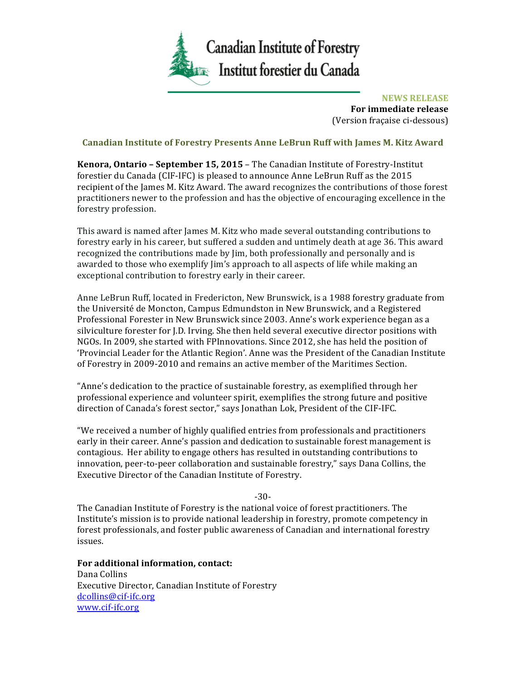

**NEWS RELEASE For immediate release** (Version fraçaise ci-dessous)

## **Canadian Institute of Forestry Presents Anne LeBrun Ruff with James M. Kitz Award**

**Kenora, Ontario - September 15, 2015 - The Canadian Institute of Forestry-Institut** forestier du Canada (CIF-IFC) is pleased to announce Anne LeBrun Ruff as the 2015 recipient of the James M. Kitz Award. The award recognizes the contributions of those forest practitioners newer to the profession and has the objective of encouraging excellence in the forestry profession.

This award is named after James M. Kitz who made several outstanding contributions to forestry early in his career, but suffered a sudden and untimely death at age 36. This award recognized the contributions made by  $\lim$ , both professionally and personally and is awarded to those who exemplify Jim's approach to all aspects of life while making an exceptional contribution to forestry early in their career.

Anne LeBrun Ruff, located in Fredericton, New Brunswick, is a 1988 forestry graduate from the Université de Moncton, Campus Edmundston in New Brunswick, and a Registered Professional Forester in New Brunswick since 2003. Anne's work experience began as a silviculture forester for J.D. Irving. She then held several executive director positions with NGOs. In 2009, she started with FPInnovations. Since 2012, she has held the position of 'Provincial Leader for the Atlantic Region'. Anne was the President of the Canadian Institute of Forestry in 2009-2010 and remains an active member of the Maritimes Section.

"Anne's dedication to the practice of sustainable forestry, as exemplified through her professional experience and volunteer spirit, exemplifies the strong future and positive direction of Canada's forest sector," says Jonathan Lok, President of the CIF-IFC.

"We received a number of highly qualified entries from professionals and practitioners early in their career. Anne's passion and dedication to sustainable forest management is contagious. Her ability to engage others has resulted in outstanding contributions to innovation, peer-to-peer collaboration and sustainable forestry," says Dana Collins, the Executive Director of the Canadian Institute of Forestry.

-30-

The Canadian Institute of Forestry is the national voice of forest practitioners. The Institute's mission is to provide national leadership in forestry, promote competency in forest professionals, and foster public awareness of Canadian and international forestry issues.

For additional information, contact: Dana Collins Executive Director, Canadian Institute of Forestry dcollins@cif-ifc.org www.cif-ifc.org